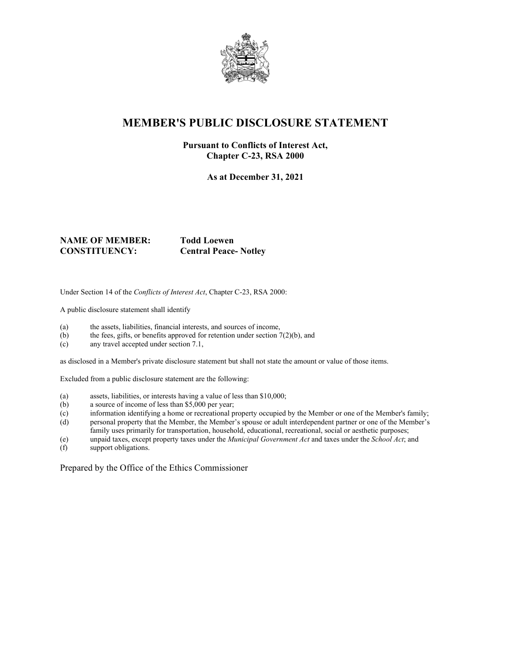

## **MEMBER'S PUBLIC DISCLOSURE STATEMENT**

#### **Pursuant to Conflicts of Interest Act, Chapter C-23, RSA 2000**

**As at December 31, 2021**

#### **NAME OF MEMBER: Todd Loewen CONSTITUENCY: Central Peace- Notley**

Under Section 14 of the *Conflicts of Interest Act*, Chapter C-23, RSA 2000:

A public disclosure statement shall identify

- (a) the assets, liabilities, financial interests, and sources of income,
- (b) the fees, gifts, or benefits approved for retention under section  $7(2)(b)$ , and
- (c) any travel accepted under section 7.1,

as disclosed in a Member's private disclosure statement but shall not state the amount or value of those items.

Excluded from a public disclosure statement are the following:

- (a) assets, liabilities, or interests having a value of less than \$10,000;
- (b) a source of income of less than \$5,000 per year;
- (c) information identifying a home or recreational property occupied by the Member or one of the Member's family;
- (d) personal property that the Member, the Member's spouse or adult interdependent partner or one of the Member's family uses primarily for transportation, household, educational, recreational, social or aesthetic purposes;
- (e) unpaid taxes, except property taxes under the *Municipal Government Act* and taxes under the *School Act*; and
- support obligations.

Prepared by the Office of the Ethics Commissioner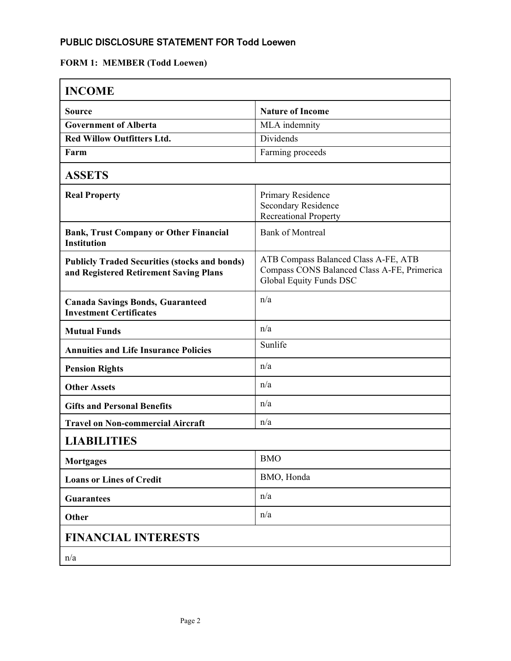## PUBLIC DISCLOSURE STATEMENT FOR Todd Loewen

# **FORM 1: MEMBER (Todd Loewen)**

| <b>INCOME</b>                                                                                  |                                                                                                                |  |
|------------------------------------------------------------------------------------------------|----------------------------------------------------------------------------------------------------------------|--|
| Source                                                                                         | <b>Nature of Income</b>                                                                                        |  |
| <b>Government of Alberta</b>                                                                   | MLA indemnity                                                                                                  |  |
| <b>Red Willow Outfitters Ltd.</b>                                                              | Dividends                                                                                                      |  |
| Farm                                                                                           | Farming proceeds                                                                                               |  |
| <b>ASSETS</b>                                                                                  |                                                                                                                |  |
| <b>Real Property</b>                                                                           | Primary Residence<br>Secondary Residence<br><b>Recreational Property</b>                                       |  |
| <b>Bank, Trust Company or Other Financial</b><br><b>Institution</b>                            | <b>Bank of Montreal</b>                                                                                        |  |
| <b>Publicly Traded Securities (stocks and bonds)</b><br>and Registered Retirement Saving Plans | ATB Compass Balanced Class A-FE, ATB<br>Compass CONS Balanced Class A-FE, Primerica<br>Global Equity Funds DSC |  |
| <b>Canada Savings Bonds, Guaranteed</b><br><b>Investment Certificates</b>                      | n/a                                                                                                            |  |
| <b>Mutual Funds</b>                                                                            | n/a                                                                                                            |  |
| <b>Annuities and Life Insurance Policies</b>                                                   | Sunlife                                                                                                        |  |
| <b>Pension Rights</b>                                                                          | n/a                                                                                                            |  |
| <b>Other Assets</b>                                                                            | n/a                                                                                                            |  |
| <b>Gifts and Personal Benefits</b>                                                             | n/a                                                                                                            |  |
| <b>Travel on Non-commercial Aircraft</b>                                                       | n/a                                                                                                            |  |
| <b>LIABILITIES</b>                                                                             |                                                                                                                |  |
| <b>Mortgages</b>                                                                               | <b>BMO</b>                                                                                                     |  |
| <b>Loans or Lines of Credit</b>                                                                | BMO, Honda                                                                                                     |  |
| <b>Guarantees</b>                                                                              | n/a                                                                                                            |  |
| Other                                                                                          | n/a                                                                                                            |  |
| <b>FINANCIAL INTERESTS</b>                                                                     |                                                                                                                |  |
| n/a                                                                                            |                                                                                                                |  |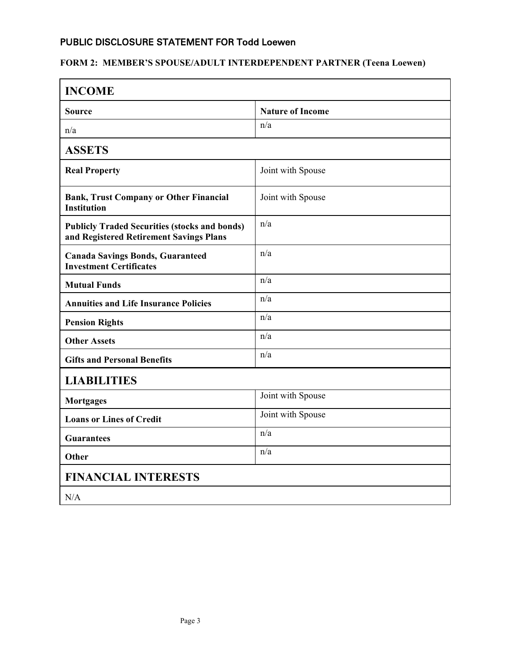## PUBLIC DISCLOSURE STATEMENT FOR Todd Loewen

## **FORM 2: MEMBER'S SPOUSE/ADULT INTERDEPENDENT PARTNER (Teena Loewen)**

| <b>INCOME</b>                                                                                   |                         |  |
|-------------------------------------------------------------------------------------------------|-------------------------|--|
| <b>Source</b>                                                                                   | <b>Nature of Income</b> |  |
| n/a                                                                                             | n/a                     |  |
| <b>ASSETS</b>                                                                                   |                         |  |
| <b>Real Property</b>                                                                            | Joint with Spouse       |  |
| <b>Bank, Trust Company or Other Financial</b><br><b>Institution</b>                             | Joint with Spouse       |  |
| <b>Publicly Traded Securities (stocks and bonds)</b><br>and Registered Retirement Savings Plans | n/a                     |  |
| <b>Canada Savings Bonds, Guaranteed</b><br><b>Investment Certificates</b>                       | n/a                     |  |
| <b>Mutual Funds</b>                                                                             | n/a                     |  |
| <b>Annuities and Life Insurance Policies</b>                                                    | n/a                     |  |
| <b>Pension Rights</b>                                                                           | n/a                     |  |
| <b>Other Assets</b>                                                                             | n/a                     |  |
| <b>Gifts and Personal Benefits</b>                                                              | n/a                     |  |
| <b>LIABILITIES</b>                                                                              |                         |  |
| <b>Mortgages</b>                                                                                | Joint with Spouse       |  |
| <b>Loans or Lines of Credit</b>                                                                 | Joint with Spouse       |  |
| <b>Guarantees</b>                                                                               | n/a                     |  |
| Other                                                                                           | n/a                     |  |
| <b>FINANCIAL INTERESTS</b>                                                                      |                         |  |
| N/A                                                                                             |                         |  |